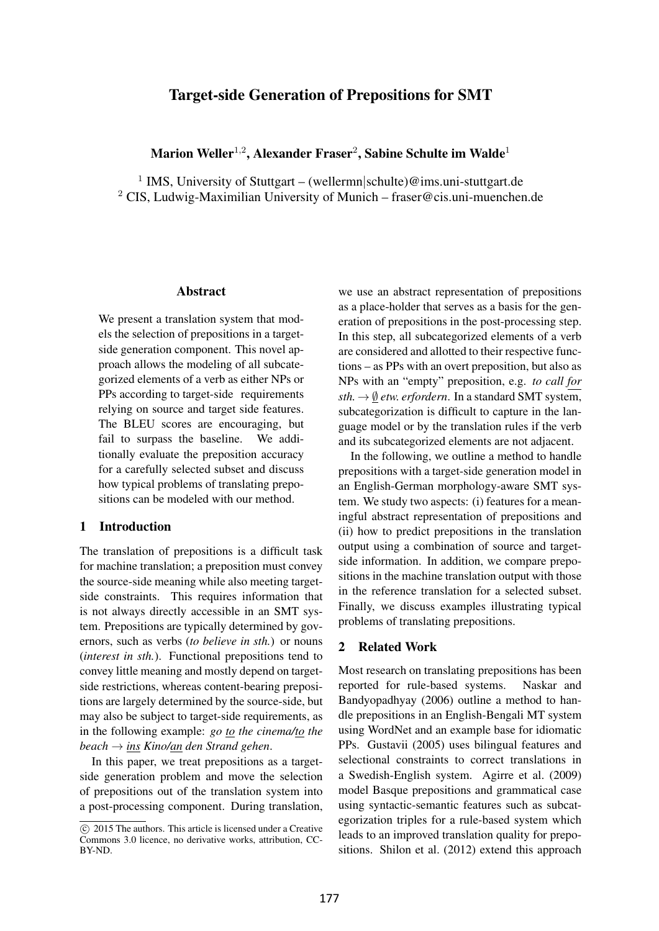# Target-side Generation of Prepositions for SMT

# Marion Weller $^{1,2}$ , Alexander Fraser $^2$ , Sabine Schulte im Walde $^1$

<sup>1</sup> IMS, University of Stuttgart – (wellermn|schulte)@ims.uni-stuttgart.de <sup>2</sup> CIS, Ludwig-Maximilian University of Munich – fraser@cis.uni-muenchen.de

#### Abstract

We present a translation system that models the selection of prepositions in a targetside generation component. This novel approach allows the modeling of all subcategorized elements of a verb as either NPs or PPs according to target-side requirements relying on source and target side features. The BLEU scores are encouraging, but fail to surpass the baseline. We additionally evaluate the preposition accuracy for a carefully selected subset and discuss how typical problems of translating prepositions can be modeled with our method.

### 1 Introduction

The translation of prepositions is a difficult task for machine translation; a preposition must convey the source-side meaning while also meeting targetside constraints. This requires information that is not always directly accessible in an SMT system. Prepositions are typically determined by governors, such as verbs (*to believe in sth.*) or nouns (*interest in sth.*). Functional prepositions tend to convey little meaning and mostly depend on targetside restrictions, whereas content-bearing prepositions are largely determined by the source-side, but may also be subject to target-side requirements, as in the following example: *go to the cinema/to the beach* → *ins Kino/an den Strand gehen*.

In this paper, we treat prepositions as a targetside generation problem and move the selection of prepositions out of the translation system into a post-processing component. During translation,

we use an abstract representation of prepositions as a place-holder that serves as a basis for the generation of prepositions in the post-processing step. In this step, all subcategorized elements of a verb are considered and allotted to their respective functions – as PPs with an overt preposition, but also as NPs with an "empty" preposition, e.g. *to call for*  $sth. \rightarrow \emptyset$  *etw. erfordern.* In a standard SMT system, subcategorization is difficult to capture in the language model or by the translation rules if the verb and its subcategorized elements are not adjacent.

In the following, we outline a method to handle prepositions with a target-side generation model in an English-German morphology-aware SMT system. We study two aspects: (i) features for a meaningful abstract representation of prepositions and (ii) how to predict prepositions in the translation output using a combination of source and targetside information. In addition, we compare prepositions in the machine translation output with those in the reference translation for a selected subset. Finally, we discuss examples illustrating typical problems of translating prepositions.

## 2 Related Work

Most research on translating prepositions has been reported for rule-based systems. Naskar and Bandyopadhyay (2006) outline a method to handle prepositions in an English-Bengali MT system using WordNet and an example base for idiomatic PPs. Gustavii (2005) uses bilingual features and selectional constraints to correct translations in a Swedish-English system. Agirre et al. (2009) model Basque prepositions and grammatical case using syntactic-semantic features such as subcategorization triples for a rule-based system which leads to an improved translation quality for prepositions. Shilon et al. (2012) extend this approach

c 2015 The authors. This article is licensed under a Creative Commons 3.0 licence, no derivative works, attribution, CC-BY-ND.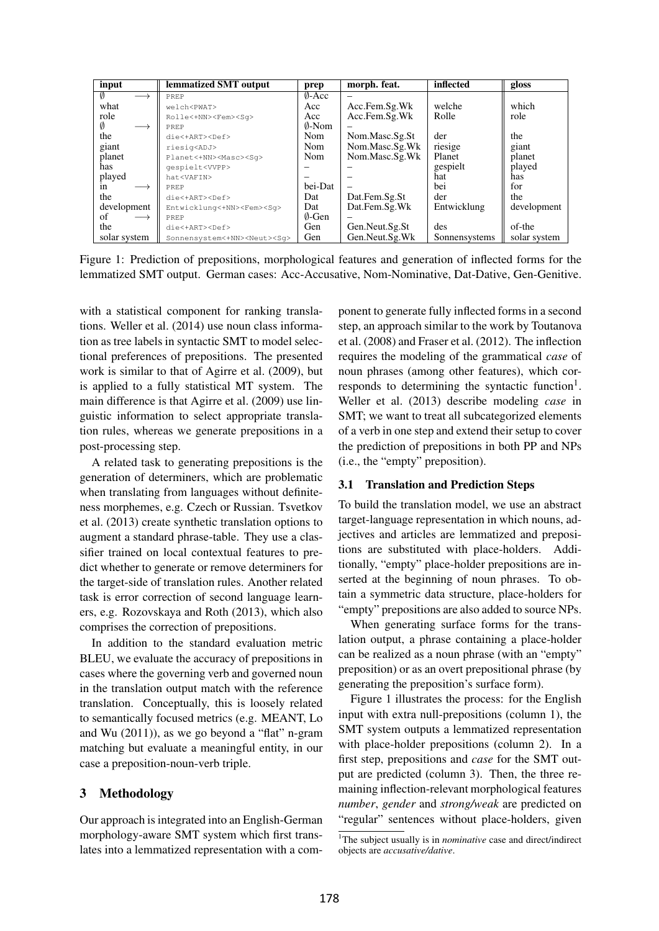| input                   | lemmatized SMT output                    | prep             | morph. feat.   | inflected     | gloss        |
|-------------------------|------------------------------------------|------------------|----------------|---------------|--------------|
| Ø                       | PREP                                     | $\emptyset$ -Acc |                |               |              |
| what                    | welch <pwat></pwat>                      | Acc              | Acc.Fem.Sg.Wk  | welche        | which        |
| role                    | Rolle<+NN> <fem><sq></sq></fem>          | Acc              | Acc.Fem.Sg.Wk  | Rolle         | role         |
| $\longrightarrow$       | PREP                                     | 0-Nom            |                |               |              |
| the                     | die<+ART> <def></def>                    | <b>Nom</b>       | Nom.Masc.Sg.St | der           | the          |
| giant                   | riesig <adj></adj>                       | <b>Nom</b>       | Nom.Masc.Sg.Wk | riesige       | giant        |
| planet                  | Planet<+NN> <masc><sq></sq></masc>       | Nom              | Nom.Masc.Sg.Wk | Planet        | planet       |
| has                     | qespielt <vvpp></vvpp>                   |                  |                | gespielt      | played       |
| played                  | hat <vafin></vafin>                      |                  |                | hat           | has          |
| 1n                      | PREP                                     | bei-Dat          |                | bei           | for          |
| the                     | die<+ART> <def></def>                    | Dat              | Dat.Fem.Sg.St  | der           | the          |
| development             | Entwicklung<+NN> <fem><sq></sq></fem>    | Dat              | Dat.Fem.Sg.Wk  | Entwicklung   | development  |
| of<br>$\longrightarrow$ | PREP                                     | $\emptyset$ -Gen |                |               |              |
| the                     | die<+ART> <def></def>                    | Gen              | Gen.Neut.Sg.St | des           | of-the       |
| solar system            | Sonnensystem<+NN> <neut><sq></sq></neut> | Gen              | Gen.Neut.Sg.Wk | Sonnensystems | solar system |

Figure 1: Prediction of prepositions, morphological features and generation of inflected forms for the lemmatized SMT output. German cases: Acc-Accusative, Nom-Nominative, Dat-Dative, Gen-Genitive.

with a statistical component for ranking translations. Weller et al. (2014) use noun class information as tree labels in syntactic SMT to model selectional preferences of prepositions. The presented work is similar to that of Agirre et al. (2009), but is applied to a fully statistical MT system. The main difference is that Agirre et al. (2009) use linguistic information to select appropriate translation rules, whereas we generate prepositions in a post-processing step.

A related task to generating prepositions is the generation of determiners, which are problematic when translating from languages without definiteness morphemes, e.g. Czech or Russian. Tsvetkov et al. (2013) create synthetic translation options to augment a standard phrase-table. They use a classifier trained on local contextual features to predict whether to generate or remove determiners for the target-side of translation rules. Another related task is error correction of second language learners, e.g. Rozovskaya and Roth (2013), which also comprises the correction of prepositions.

In addition to the standard evaluation metric BLEU, we evaluate the accuracy of prepositions in cases where the governing verb and governed noun in the translation output match with the reference translation. Conceptually, this is loosely related to semantically focused metrics (e.g. MEANT, Lo and Wu (2011)), as we go beyond a "flat" n-gram matching but evaluate a meaningful entity, in our case a preposition-noun-verb triple.

## 3 Methodology

Our approach is integrated into an English-German morphology-aware SMT system which first translates into a lemmatized representation with a component to generate fully inflected forms in a second step, an approach similar to the work by Toutanova et al. (2008) and Fraser et al. (2012). The inflection requires the modeling of the grammatical *case* of noun phrases (among other features), which corresponds to determining the syntactic function<sup>1</sup>. Weller et al. (2013) describe modeling *case* in SMT; we want to treat all subcategorized elements of a verb in one step and extend their setup to cover the prediction of prepositions in both PP and NPs (i.e., the "empty" preposition).

### 3.1 Translation and Prediction Steps

To build the translation model, we use an abstract target-language representation in which nouns, adjectives and articles are lemmatized and prepositions are substituted with place-holders. Additionally, "empty" place-holder prepositions are inserted at the beginning of noun phrases. To obtain a symmetric data structure, place-holders for "empty" prepositions are also added to source NPs.

When generating surface forms for the translation output, a phrase containing a place-holder can be realized as a noun phrase (with an "empty" preposition) or as an overt prepositional phrase (by generating the preposition's surface form).

Figure 1 illustrates the process: for the English input with extra null-prepositions (column 1), the SMT system outputs a lemmatized representation with place-holder prepositions (column 2). In a first step, prepositions and *case* for the SMT output are predicted (column 3). Then, the three remaining inflection-relevant morphological features *number*, *gender* and *strong/weak* are predicted on "regular" sentences without place-holders, given

<sup>&</sup>lt;sup>1</sup>The subject usually is in *nominative* case and direct/indirect objects are *accusative/dative*.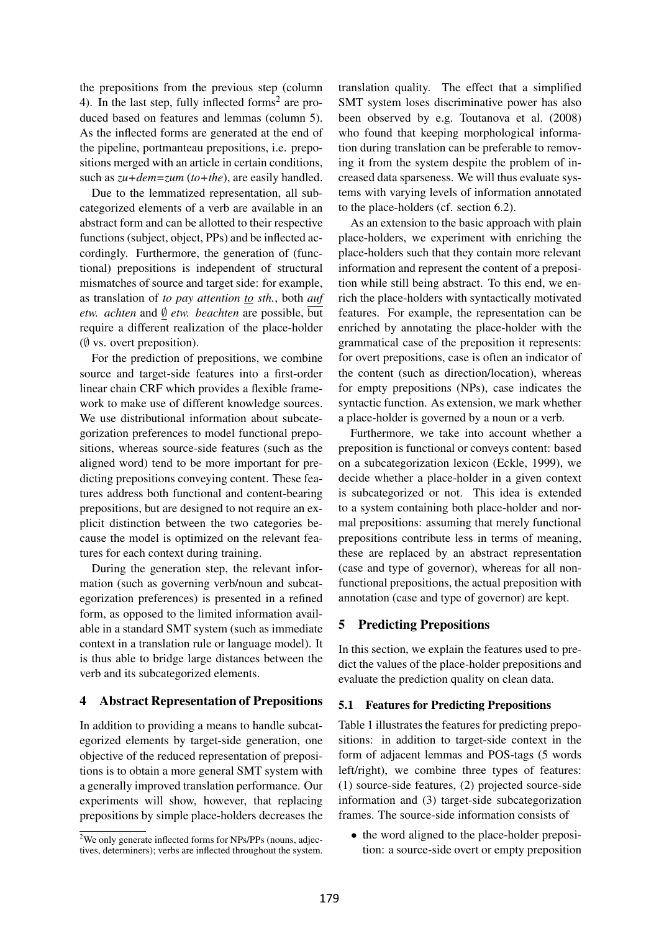the prepositions from the previous step (column 4). In the last step, fully inflected forms<sup>2</sup> are produced based on features and lemmas (column 5). As the inflected forms are generated at the end of the pipeline, portmanteau prepositions, i.e. prepositions merged with an article in certain conditions, such as *zu+dem=zum* (*to+the*), are easily handled.

Due to the lemmatized representation, all subcategorized elements of a verb are available in an abstract form and can be allotted to their respective functions (subject, object, PPs) and be inflected accordingly. Furthermore, the generation of (functional) prepositions is independent of structural mismatches of source and target side: for example, as translation of *to pay attention to sth.*, both *auf etw. achten* and ∅ *etw. beachten* are possible, but require a different realization of the place-holder  $(\emptyset$  vs. overt preposition).

For the prediction of prepositions, we combine source and target-side features into a first-order linear chain CRF which provides a flexible framework to make use of different knowledge sources. We use distributional information about subcategorization preferences to model functional prepositions, whereas source-side features (such as the aligned word) tend to be more important for predicting prepositions conveying content. These features address both functional and content-bearing prepositions, but are designed to not require an explicit distinction between the two categories because the model is optimized on the relevant features for each context during training.

During the generation step, the relevant information (such as governing verb/noun and subcategorization preferences) is presented in a refined form, as opposed to the limited information available in a standard SMT system (such as immediate context in a translation rule or language model). It is thus able to bridge large distances between the verb and its subcategorized elements.

### 4 Abstract Representation of Prepositions

In addition to providing a means to handle subcategorized elements by target-side generation, one objective of the reduced representation of prepositions is to obtain a more general SMT system with a generally improved translation performance. Our experiments will show, however, that replacing prepositions by simple place-holders decreases the translation quality. The effect that a simplified SMT system loses discriminative power has also been observed by e.g. Toutanova et al. (2008) who found that keeping morphological information during translation can be preferable to removing it from the system despite the problem of increased data sparseness. We will thus evaluate systems with varying levels of information annotated to the place-holders (cf. section 6.2).

As an extension to the basic approach with plain place-holders, we experiment with enriching the place-holders such that they contain more relevant information and represent the content of a preposition while still being abstract. To this end, we enrich the place-holders with syntactically motivated features. For example, the representation can be enriched by annotating the place-holder with the grammatical case of the preposition it represents: for overt prepositions, case is often an indicator of the content (such as direction/location), whereas for empty prepositions (NPs), case indicates the syntactic function. As extension, we mark whether a place-holder is governed by a noun or a verb.

Furthermore, we take into account whether a preposition is functional or conveys content: based on a subcategorization lexicon (Eckle, 1999), we decide whether a place-holder in a given context is subcategorized or not. This idea is extended to a system containing both place-holder and normal prepositions: assuming that merely functional prepositions contribute less in terms of meaning, these are replaced by an abstract representation (case and type of governor), whereas for all nonfunctional prepositions, the actual preposition with annotation (case and type of governor) are kept.

## 5 Predicting Prepositions

In this section, we explain the features used to predict the values of the place-holder prepositions and evaluate the prediction quality on clean data.

### 5.1 Features for Predicting Prepositions

Table 1 illustrates the features for predicting prepositions: in addition to target-side context in the form of adjacent lemmas and POS-tags (5 words left/right), we combine three types of features: (1) source-side features, (2) projected source-side information and (3) target-side subcategorization frames. The source-side information consists of

• the word aligned to the place-holder preposition: a source-side overt or empty preposition

<sup>2</sup>We only generate inflected forms for NPs/PPs (nouns, adjectives, determiners); verbs are inflected throughout the system.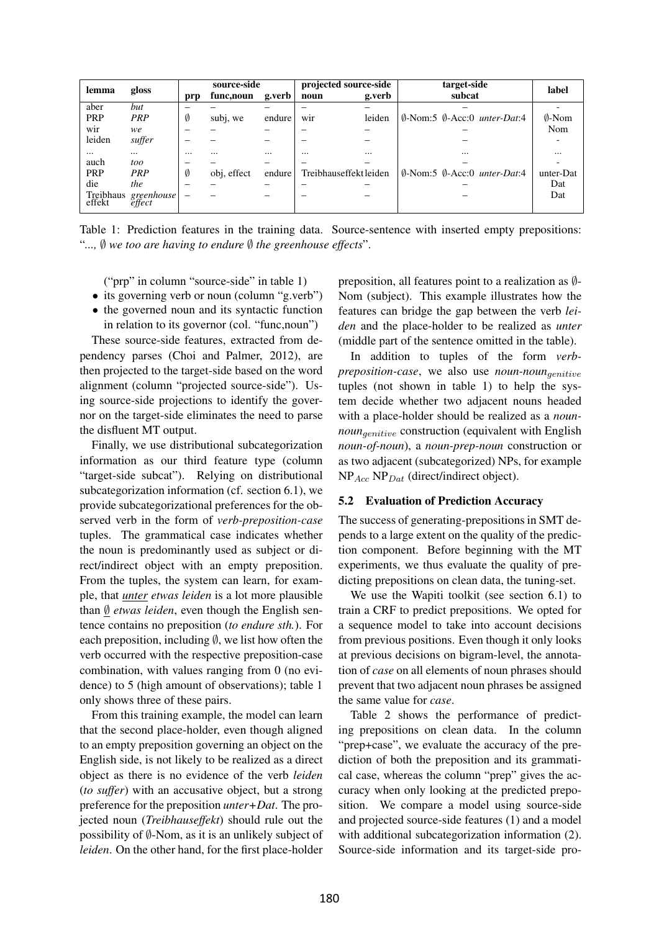| lemma               | gloss      |          | source-side |          | projected source-side  |          | target-side                                               | label            |
|---------------------|------------|----------|-------------|----------|------------------------|----------|-----------------------------------------------------------|------------------|
|                     |            | prp      | func, noun  | g.verb   | noun                   | g.verb   | subcat                                                    |                  |
| aber                | but        |          |             |          |                        |          |                                                           |                  |
| <b>PRP</b>          | PRP        | Ø        | subj, we    | endure   | wir                    | leiden   | $\emptyset$ -Nom:5 $\emptyset$ -Acc:0 <i>unter-Dat</i> :4 | $\emptyset$ -Nom |
| wir                 | we         |          |             |          |                        |          |                                                           | Nom              |
| leiden              | suffer     |          |             |          |                        |          |                                                           |                  |
| $\cdots$            | $\cdots$   | $\cdots$ |             | $\cdots$ | $\cdots$               | $\cdots$ | $\cdots$                                                  |                  |
| auch                | too        |          |             |          |                        |          |                                                           |                  |
| <b>PRP</b>          | PRP        | Ø        | obj, effect | endure   | Treibhauseffekt leiden |          | $\emptyset$ -Nom:5 $\emptyset$ -Acc:0 <i>unter-Dat</i> :4 | unter-Dat        |
| die                 | the        |          |             |          |                        |          |                                                           | Dat              |
| Treibhaus<br>effekt | greenhouse | -        |             |          |                        |          |                                                           | Dat              |

Table 1: Prediction features in the training data. Source-sentence with inserted empty prepositions: "*...,* ∅ *we too are having to endure* ∅ *the greenhouse effects*".

("prp" in column "source-side" in table 1)

- its governing verb or noun (column "g.verb")
- the governed noun and its syntactic function in relation to its governor (col. "func,noun")

These source-side features, extracted from dependency parses (Choi and Palmer, 2012), are then projected to the target-side based on the word alignment (column "projected source-side"). Using source-side projections to identify the governor on the target-side eliminates the need to parse the disfluent MT output.

Finally, we use distributional subcategorization information as our third feature type (column "target-side subcat"). Relying on distributional subcategorization information (cf. section 6.1), we provide subcategorizational preferences for the observed verb in the form of *verb-preposition-case* tuples. The grammatical case indicates whether the noun is predominantly used as subject or direct/indirect object with an empty preposition. From the tuples, the system can learn, for example, that *unter etwas leiden* is a lot more plausible than ∅ *etwas leiden*, even though the English sentence contains no preposition (*to endure sth.*). For each preposition, including  $\emptyset$ , we list how often the verb occurred with the respective preposition-case combination, with values ranging from 0 (no evidence) to 5 (high amount of observations); table 1 only shows three of these pairs.

From this training example, the model can learn that the second place-holder, even though aligned to an empty preposition governing an object on the English side, is not likely to be realized as a direct object as there is no evidence of the verb *leiden* (*to suffer*) with an accusative object, but a strong preference for the preposition *unter+Dat*. The projected noun (*Treibhauseffekt*) should rule out the possibility of  $\emptyset$ -Nom, as it is an unlikely subject of *leiden*. On the other hand, for the first place-holder preposition, all features point to a realization as ∅- Nom (subject). This example illustrates how the features can bridge the gap between the verb *leiden* and the place-holder to be realized as *unter* (middle part of the sentence omitted in the table).

In addition to tuples of the form *verbpreposition-case*, we also use *noun-noun*genitive tuples (not shown in table 1) to help the system decide whether two adjacent nouns headed with a place-holder should be realized as a *nounnoun<sub>qenitive</sub>* construction (equivalent with English *noun-of-noun*), a *noun-prep-noun* construction or as two adjacent (subcategorized) NPs, for example  $NP_{Acc} NP_{Dat}$  (direct/indirect object).

### 5.2 Evaluation of Prediction Accuracy

The success of generating-prepositions in SMT depends to a large extent on the quality of the prediction component. Before beginning with the MT experiments, we thus evaluate the quality of predicting prepositions on clean data, the tuning-set.

We use the Wapiti toolkit (see section 6.1) to train a CRF to predict prepositions. We opted for a sequence model to take into account decisions from previous positions. Even though it only looks at previous decisions on bigram-level, the annotation of *case* on all elements of noun phrases should prevent that two adjacent noun phrases be assigned the same value for *case*.

Table 2 shows the performance of predicting prepositions on clean data. In the column "prep+case", we evaluate the accuracy of the prediction of both the preposition and its grammatical case, whereas the column "prep" gives the accuracy when only looking at the predicted preposition. We compare a model using source-side and projected source-side features (1) and a model with additional subcategorization information (2). Source-side information and its target-side pro-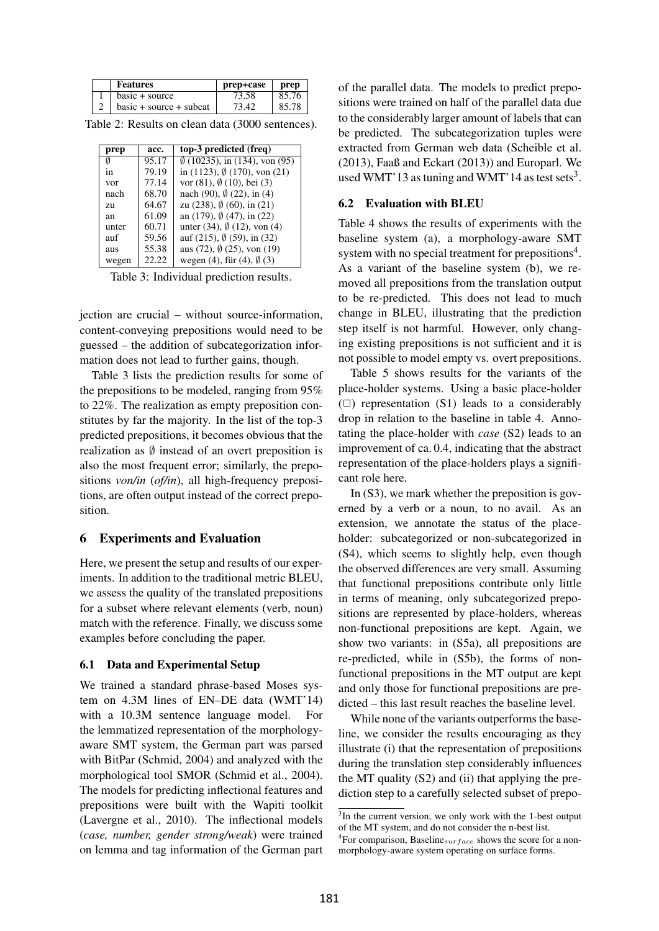| <b>Features</b>           | prep+case | prep  |
|---------------------------|-----------|-------|
| $basic + source$          | 73.58     | 85.76 |
| $basic + source + subcat$ | 73.42     | 85.78 |

Table 2: Results on clean data (3000 sentences).

| prep  | acc.  | top-3 predicted (freq)                         |
|-------|-------|------------------------------------------------|
| Ø     | 95.17 | $\emptyset$ (10235), in (134), von (95)        |
| 1n    | 79.19 | in $(1123)$ , $\emptyset$ $(170)$ , von $(21)$ |
| vor   | 77.14 | vor $(81)$ , $\emptyset$ $(10)$ , bei $(3)$    |
| nach  | 68.70 | nach (90), $\emptyset$ (22), in (4)            |
| 7.U   | 64.67 | zu (238), $\emptyset$ (60), in (21)            |
| an    | 61.09 | an $(179)$ , $\emptyset$ $(47)$ , in $(22)$    |
| unter | 60.71 | unter (34), $\emptyset$ (12), von (4)          |
| auf   | 59.56 | auf (215), $\emptyset$ (59), in (32)           |
| aus   | 55.38 | aus (72), $\emptyset$ (25), von (19)           |
| wegen | 22.22 | wegen (4), für (4), $\emptyset$ (3)            |

Table 3: Individual prediction results.

jection are crucial – without source-information, content-conveying prepositions would need to be guessed – the addition of subcategorization information does not lead to further gains, though.

Table 3 lists the prediction results for some of the prepositions to be modeled, ranging from 95% to 22%. The realization as empty preposition constitutes by far the majority. In the list of the top-3 predicted prepositions, it becomes obvious that the realization as  $\emptyset$  instead of an overt preposition is also the most frequent error; similarly, the prepositions *von/in* (*of/in*), all high-frequency prepositions, are often output instead of the correct preposition.

### 6 Experiments and Evaluation

Here, we present the setup and results of our experiments. In addition to the traditional metric BLEU, we assess the quality of the translated prepositions for a subset where relevant elements (verb, noun) match with the reference. Finally, we discuss some examples before concluding the paper.

## 6.1 Data and Experimental Setup

We trained a standard phrase-based Moses system on 4.3M lines of EN–DE data (WMT'14) with a 10.3M sentence language model. For the lemmatized representation of the morphologyaware SMT system, the German part was parsed with BitPar (Schmid, 2004) and analyzed with the morphological tool SMOR (Schmid et al., 2004). The models for predicting inflectional features and prepositions were built with the Wapiti toolkit (Lavergne et al., 2010). The inflectional models (*case, number, gender strong/weak*) were trained on lemma and tag information of the German part of the parallel data. The models to predict prepositions were trained on half of the parallel data due to the considerably larger amount of labels that can be predicted. The subcategorization tuples were extracted from German web data (Scheible et al. (2013), Faaß and Eckart (2013)) and Europarl. We used WMT'13 as tuning and WMT'14 as test sets<sup>3</sup>.

#### 6.2 Evaluation with BLEU

Table 4 shows the results of experiments with the baseline system (a), a morphology-aware SMT system with no special treatment for prepositions<sup>4</sup>. As a variant of the baseline system (b), we removed all prepositions from the translation output to be re-predicted. This does not lead to much change in BLEU, illustrating that the prediction step itself is not harmful. However, only changing existing prepositions is not sufficient and it is not possible to model empty vs. overt prepositions.

Table 5 shows results for the variants of the place-holder systems. Using a basic place-holder  $(\Box)$  representation (S1) leads to a considerably drop in relation to the baseline in table 4. Annotating the place-holder with *case* (S2) leads to an improvement of ca. 0.4, indicating that the abstract representation of the place-holders plays a significant role here.

In (S3), we mark whether the preposition is governed by a verb or a noun, to no avail. As an extension, we annotate the status of the placeholder: subcategorized or non-subcategorized in (S4), which seems to slightly help, even though the observed differences are very small. Assuming that functional prepositions contribute only little in terms of meaning, only subcategorized prepositions are represented by place-holders, whereas non-functional prepositions are kept. Again, we show two variants: in (S5a), all prepositions are re-predicted, while in (S5b), the forms of nonfunctional prepositions in the MT output are kept and only those for functional prepositions are predicted – this last result reaches the baseline level.

While none of the variants outperforms the baseline, we consider the results encouraging as they illustrate (i) that the representation of prepositions during the translation step considerably influences the MT quality (S2) and (ii) that applying the prediction step to a carefully selected subset of prepo-

<sup>&</sup>lt;sup>3</sup>In the current version, we only work with the 1-best output of the MT system, and do not consider the n-best list.

<sup>&</sup>lt;sup>4</sup>For comparison, Baseline<sub>surface</sub> shows the score for a nonmorphology-aware system operating on surface forms.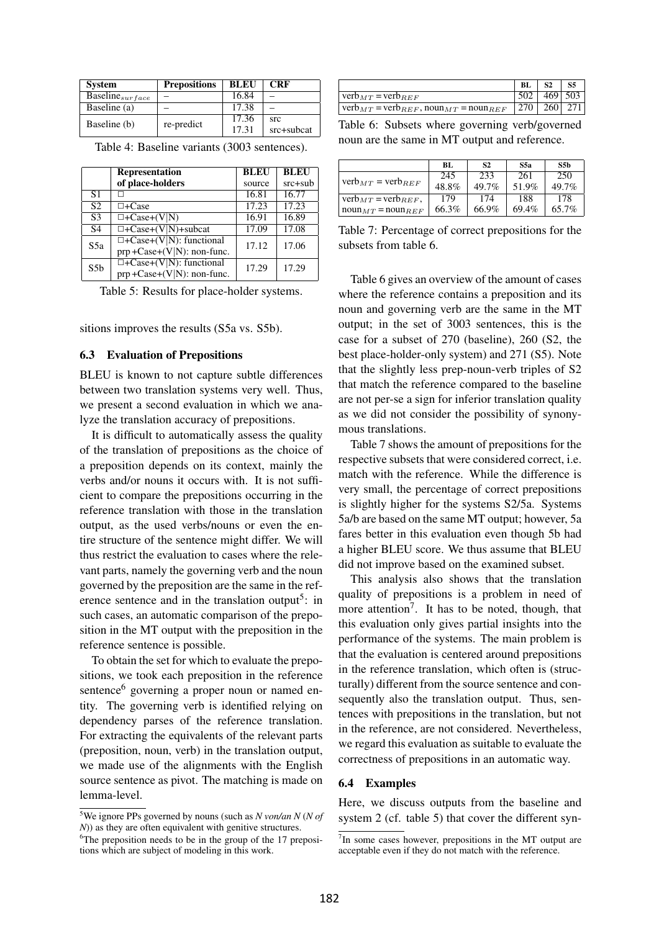| <b>System</b>                          | <b>Prepositions</b> | <b>BLEU</b> | <b>CRF</b> |
|----------------------------------------|---------------------|-------------|------------|
| $\overline{\text{Baseline}}_{surface}$ |                     | 16.84       |            |
| Baseline (a)                           |                     | 17.38       |            |
| Baseline (b)                           | re-predict          | 17.36       | src        |
|                                        |                     | 17.31       | src+subcat |

|                 | <b>Representation</b>                                            | BLEU   | <b>BLEU</b> |
|-----------------|------------------------------------------------------------------|--------|-------------|
|                 | of place-holders                                                 | source | $src + sub$ |
| S <sub>1</sub>  |                                                                  | 16.81  | 16.77       |
| $\overline{S2}$ | $\Box$ +Case                                                     | 17.23  | 17.23       |
| S <sub>3</sub>  | $\Box$ +Case+(V N)                                               | 16.91  | 16.89       |
| S <sub>4</sub>  | $\Box$ +Case+(V N)+subcat                                        | 17.09  | 17.08       |
| S5a             | $\Box$ +Case+(V N): functional<br>$prp + Case+(V N)$ : non-func. | 17.12  | 17.06       |
| S5 <sub>b</sub> | $\Box$ +Case+(V N): functional<br>$prp + Case+(V N)$ : non-func. | 17.29  | 17.29       |

Table 4: Baseline variants (3003 sentences).

Table 5: Results for place-holder systems.

sitions improves the results (S5a vs. S5b).

#### 6.3 Evaluation of Prepositions

BLEU is known to not capture subtle differences between two translation systems very well. Thus, we present a second evaluation in which we analyze the translation accuracy of prepositions.

It is difficult to automatically assess the quality of the translation of prepositions as the choice of a preposition depends on its context, mainly the verbs and/or nouns it occurs with. It is not sufficient to compare the prepositions occurring in the reference translation with those in the translation output, as the used verbs/nouns or even the entire structure of the sentence might differ. We will thus restrict the evaluation to cases where the relevant parts, namely the governing verb and the noun governed by the preposition are the same in the reference sentence and in the translation output<sup>5</sup>: in such cases, an automatic comparison of the preposition in the MT output with the preposition in the reference sentence is possible.

To obtain the set for which to evaluate the prepositions, we took each preposition in the reference sentence<sup>6</sup> governing a proper noun or named entity. The governing verb is identified relying on dependency parses of the reference translation. For extracting the equivalents of the relevant parts (preposition, noun, verb) in the translation output, we made use of the alignments with the English source sentence as pivot. The matching is made on lemma-level.

|                                                                     | BL          |             |
|---------------------------------------------------------------------|-------------|-------------|
| $verb_{MT} = verb_{REF}$                                            |             | $469$   503 |
| $\vert$ verb $_{MT}$ = verb $_{REF}$ , noun $_{MT}$ = noun $_{REF}$ | 270 260 271 |             |

Table 6: Subsets where governing verb/governed noun are the same in MT output and reference.

|                                          | BL.   | S <sub>2</sub> | S5a   | S5b   |
|------------------------------------------|-------|----------------|-------|-------|
|                                          | 245   | 233            | 261   | 250   |
| $verb_{MT} = verb_{REF}$                 | 48.8% | $49.7\%$       | 51.9% | 49.7% |
| $verb_{MT} = verb_{REF}$ ,               | 179   | 174            | 188   | 178   |
| $\text{noun}_{MT}$ = $\text{noun}_{REF}$ | 66.3% | 66.9%          | 69.4% | 65.7% |

Table 7: Percentage of correct prepositions for the subsets from table 6.

Table 6 gives an overview of the amount of cases where the reference contains a preposition and its noun and governing verb are the same in the MT output; in the set of 3003 sentences, this is the case for a subset of 270 (baseline), 260 (S2, the best place-holder-only system) and 271 (S5). Note that the slightly less prep-noun-verb triples of S2 that match the reference compared to the baseline are not per-se a sign for inferior translation quality as we did not consider the possibility of synonymous translations.

Table 7 shows the amount of prepositions for the respective subsets that were considered correct, i.e. match with the reference. While the difference is very small, the percentage of correct prepositions is slightly higher for the systems S2/5a. Systems 5a/b are based on the same MT output; however, 5a fares better in this evaluation even though 5b had a higher BLEU score. We thus assume that BLEU did not improve based on the examined subset.

This analysis also shows that the translation quality of prepositions is a problem in need of more attention<sup>7</sup>. It has to be noted, though, that this evaluation only gives partial insights into the performance of the systems. The main problem is that the evaluation is centered around prepositions in the reference translation, which often is (structurally) different from the source sentence and consequently also the translation output. Thus, sentences with prepositions in the translation, but not in the reference, are not considered. Nevertheless, we regard this evaluation as suitable to evaluate the correctness of prepositions in an automatic way.

#### 6.4 Examples

Here, we discuss outputs from the baseline and system 2 (cf. table 5) that cover the different syn-

<sup>5</sup>We ignore PPs governed by nouns (such as *N von/an N* (*N of N*)) as they are often equivalent with genitive structures.

<sup>&</sup>lt;sup>6</sup>The preposition needs to be in the group of the 17 prepositions which are subject of modeling in this work.

<sup>&</sup>lt;sup>7</sup>In some cases however, prepositions in the MT output are acceptable even if they do not match with the reference.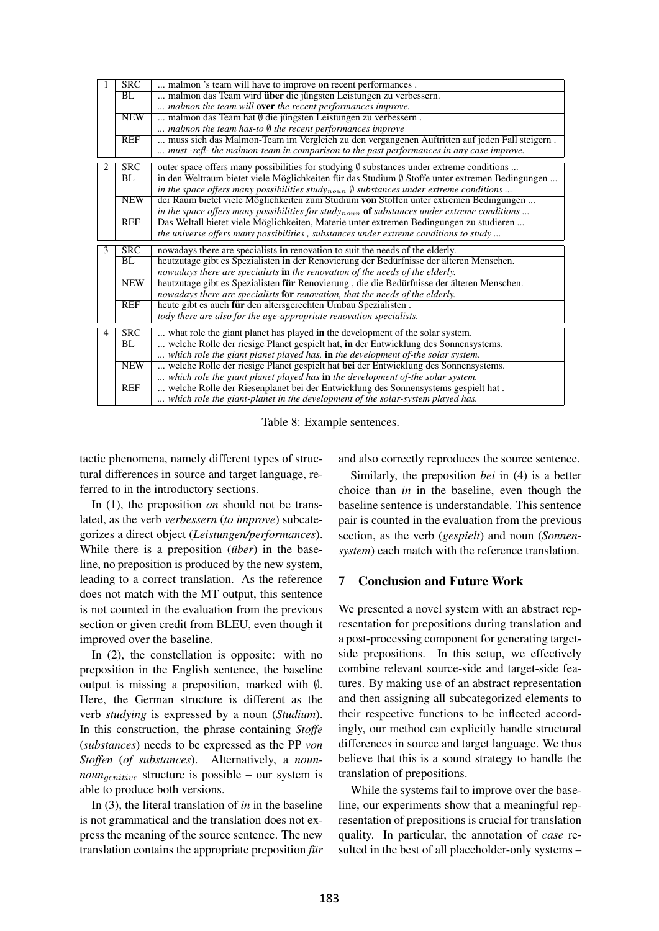|                | <b>SRC</b>              | malmon 's team will have to improve on recent performances.                                                                                                          |
|----------------|-------------------------|----------------------------------------------------------------------------------------------------------------------------------------------------------------------|
|                | BL                      | malmon das Team wird über die jüngsten Leistungen zu verbessern.                                                                                                     |
|                |                         | malmon the team will <b>over</b> the recent performances improve.                                                                                                    |
|                | <b>NEW</b>              | malmon das Team hat Ø die jüngsten Leistungen zu verbessern.                                                                                                         |
|                |                         | malmon the team has-to $\emptyset$ the recent performances improve                                                                                                   |
|                | <b>REF</b>              | muss sich das Malmon-Team im Vergleich zu den vergangenen Auftritten auf jeden Fall steigern.                                                                        |
|                |                         | must -refl- the malmon-team in comparison to the past performances in any case improve.                                                                              |
| 2              | $\overline{\text{SRC}}$ | outer space offers many possibilities for studying $\emptyset$ substances under extreme conditions                                                                   |
|                | BL                      | in den Weltraum bietet viele Möglichkeiten für das Studium $\emptyset$ Stoffe unter extremen Bedingungen                                                             |
|                |                         | in the space offers many possibilities study <sub>noun</sub> $\emptyset$ substances under extreme conditions                                                         |
|                | <b>NEW</b>              | der Raum bietet viele Möglichkeiten zum Studium von Stoffen unter extremen Bedingungen                                                                               |
|                |                         | in the space offers many possibilities for studynoun of substances under extreme conditions                                                                          |
|                | <b>REF</b>              | Das Weltall bietet viele Möglichkeiten, Materie unter extremen Bedingungen zu studieren                                                                              |
|                |                         | the universe offers many possibilities, substances under extreme conditions to study                                                                                 |
| $\overline{3}$ | SRC                     | nowadays there are specialists in renovation to suit the needs of the elderly.                                                                                       |
|                | BL                      | heutzutage gibt es Spezialisten in der Renovierung der Bedürfnisse der älteren Menschen.                                                                             |
|                |                         | nowadays there are specialists in the renovation of the needs of the elderly.                                                                                        |
|                | <b>NEW</b>              | heutzutage gibt es Spezialisten für Renovierung, die die Bedürfnisse der älteren Menschen.                                                                           |
|                |                         | nowadays there are specialists for renovation, that the needs of the elderly.                                                                                        |
|                |                         |                                                                                                                                                                      |
|                | <b>REF</b>              | heute gibt es auch für den altersgerechten Umbau Spezialisten.                                                                                                       |
|                |                         | tody there are also for the age-appropriate renovation specialists.                                                                                                  |
| $\overline{4}$ | <b>SRC</b>              |                                                                                                                                                                      |
|                | BL                      | what role the giant planet has played in the development of the solar system.<br>welche Rolle der riesige Planet gespielt hat, in der Entwicklung des Sonnensystems. |
|                |                         | which role the giant planet played has, in the development of-the solar system.                                                                                      |
|                | <b>NEW</b>              | welche Rolle der riesige Planet gespielt hat bei der Entwicklung des Sonnensystems.                                                                                  |
|                |                         | which role the giant planet played has in the development of-the solar system.                                                                                       |
|                | <b>REF</b>              | welche Rolle der Riesenplanet bei der Entwicklung des Sonnensystems gespielt hat.                                                                                    |

Table 8: Example sentences.

tactic phenomena, namely different types of structural differences in source and target language, referred to in the introductory sections.

In (1), the preposition *on* should not be translated, as the verb *verbessern* (*to improve*) subcategorizes a direct object (*Leistungen/performances*). While there is a preposition (*über*) in the baseline, no preposition is produced by the new system, leading to a correct translation. As the reference does not match with the MT output, this sentence is not counted in the evaluation from the previous section or given credit from BLEU, even though it improved over the baseline.

In (2), the constellation is opposite: with no preposition in the English sentence, the baseline output is missing a preposition, marked with  $\emptyset$ . Here, the German structure is different as the verb *studying* is expressed by a noun (*Studium*). In this construction, the phrase containing *Stoffe* (*substances*) needs to be expressed as the PP *von Stoffen* (*of substances*). Alternatively, a *nounnoun<sub>denitive</sub>* structure is possible – our system is able to produce both versions.

In (3), the literal translation of *in* in the baseline is not grammatical and the translation does not express the meaning of the source sentence. The new translation contains the appropriate preposition *fur*  and also correctly reproduces the source sentence.

Similarly, the preposition *bei* in (4) is a better choice than *in* in the baseline, even though the baseline sentence is understandable. This sentence pair is counted in the evaluation from the previous section, as the verb (*gespielt*) and noun (*Sonnensystem*) each match with the reference translation.

## 7 Conclusion and Future Work

We presented a novel system with an abstract representation for prepositions during translation and a post-processing component for generating targetside prepositions. In this setup, we effectively combine relevant source-side and target-side features. By making use of an abstract representation and then assigning all subcategorized elements to their respective functions to be inflected accordingly, our method can explicitly handle structural differences in source and target language. We thus believe that this is a sound strategy to handle the translation of prepositions.

While the systems fail to improve over the baseline, our experiments show that a meaningful representation of prepositions is crucial for translation quality. In particular, the annotation of *case* resulted in the best of all placeholder-only systems –